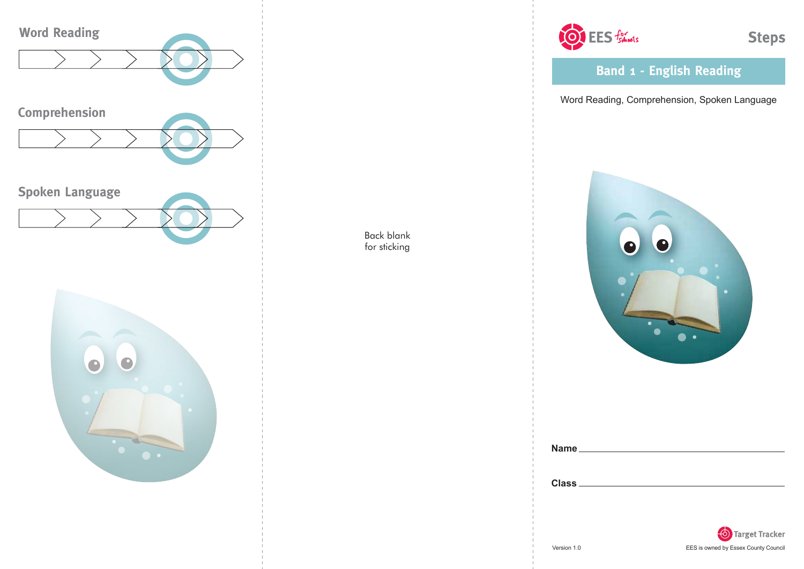



OF EES foliosis

**Steps** 

**Band 1 - English Reading**

Word Reading, Comprehension, Spoken Language



| Name.        |  |  |  |
|--------------|--|--|--|
|              |  |  |  |
|              |  |  |  |
| <b>Class</b> |  |  |  |

Back blank for sticking